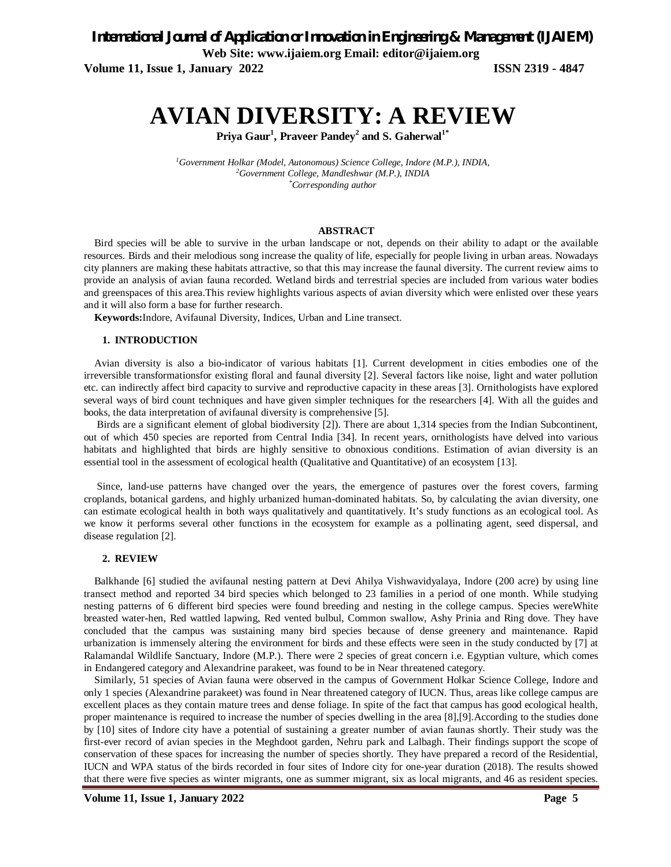*International Journal of Application or Innovation in Engineering & Management (IJAIEM)*

**Web Site: www.ijaiem.org Email: editor@ijaiem.org**

**Volume 11, Issue 1, January 2022 ISSN 2319 - 4847**

# **AVIAN DIVERSITY: A REVIEW**

**Priya Gaur<sup>1</sup> , Praveer Pandey<sup>2</sup> and S. Gaherwal1\***

*<sup>1</sup>Government Holkar (Model, Autonomous) Science College, Indore (M.P.), INDIA, <sup>2</sup>Government College, Mandleshwar (M.P.), INDIA \*Corresponding author*

#### **ABSTRACT**

Bird species will be able to survive in the urban landscape or not, depends on their ability to adapt or the available resources. Birds and their melodious song increase the quality of life, especially for people living in urban areas. Nowadays city planners are making these habitats attractive, so that this may increase the faunal diversity. The current review aims to provide an analysis of avian fauna recorded. Wetland birds and terrestrial species are included from various water bodies and greenspaces of this area.This review highlights various aspects of avian diversity which were enlisted over these years and it will also form a base for further research.

**Keywords:**Indore, Avifaunal Diversity, Indices, Urban and Line transect.

#### **1. INTRODUCTION**

Avian diversity is also a bio-indicator of various habitats [1]. Current development in cities embodies one of the irreversible transformationsfor existing floral and faunal diversity [2]. Several factors like noise, light and water pollution etc. can indirectly affect bird capacity to survive and reproductive capacity in these areas [3]. Ornithologists have explored several ways of bird count techniques and have given simpler techniques for the researchers [4]. With all the guides and books, the data interpretation of avifaunal diversity is comprehensive [5].

Birds are a significant element of global biodiversity [2]). There are about 1,314 species from the Indian Subcontinent, out of which 450 species are reported from Central India [34]. In recent years, ornithologists have delved into various habitats and highlighted that birds are highly sensitive to obnoxious conditions. Estimation of avian diversity is an essential tool in the assessment of ecological health (Qualitative and Quantitative) of an ecosystem [13].

Since, land-use patterns have changed over the years, the emergence of pastures over the forest covers, farming croplands, botanical gardens, and highly urbanized human-dominated habitats. So, by calculating the avian diversity, one can estimate ecological health in both ways qualitatively and quantitatively. It's study functions as an ecological tool. As we know it performs several other functions in the ecosystem for example as a pollinating agent, seed dispersal, and disease regulation [2].

### **2. REVIEW**

Balkhande [6] studied the avifaunal nesting pattern at Devi Ahilya Vishwavidyalaya, Indore (200 acre) by using line transect method and reported 34 bird species which belonged to 23 families in a period of one month. While studying nesting patterns of 6 different bird species were found breeding and nesting in the college campus. Species wereWhite breasted water-hen, Red wattled lapwing, Red vented bulbul, Common swallow, Ashy Prinia and Ring dove. They have concluded that the campus was sustaining many bird species because of dense greenery and maintenance. Rapid urbanization is immensely altering the environment for birds and these effects were seen in the study conducted by [7] at Ralamandal Wildlife Sanctuary, Indore (M.P.). There were 2 species of great concern i.e. Egyptian vulture, which comes in Endangered category and Alexandrine parakeet, was found to be in Near threatened category.

Similarly, 51 species of Avian fauna were observed in the campus of Government Holkar Science College, Indore and only 1 species (Alexandrine parakeet) was found in Near threatened category of IUCN. Thus, areas like college campus are excellent places as they contain mature trees and dense foliage. In spite of the fact that campus has good ecological health, proper maintenance is required to increase the number of species dwelling in the area [8],[9].According to the studies done by [10] sites of Indore city have a potential of sustaining a greater number of avian faunas shortly. Their study was the first-ever record of avian species in the Meghdoot garden, Nehru park and Lalbagh. Their findings support the scope of conservation of these spaces for increasing the number of species shortly. They have prepared a record of the Residential, IUCN and WPA status of the birds recorded in four sites of Indore city for one-year duration (2018). The results showed that there were five species as winter migrants, one as summer migrant, six as local migrants, and 46 as resident species.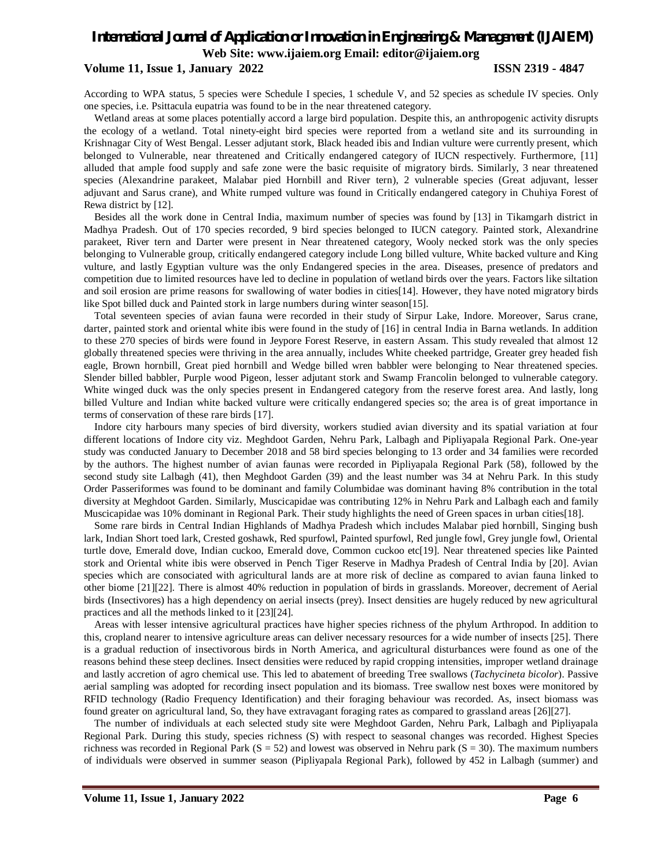### **Volume 11, Issue 1, January 2022 ISSN 2319 - 4847**

According to WPA status, 5 species were Schedule I species, 1 schedule V, and 52 species as schedule IV species. Only one species, i.e. Psittacula eupatria was found to be in the near threatened category.

Wetland areas at some places potentially accord a large bird population. Despite this, an anthropogenic activity disrupts the ecology of a wetland. Total ninety-eight bird species were reported from a wetland site and its surrounding in Krishnagar City of West Bengal. Lesser adjutant stork, Black headed ibis and Indian vulture were currently present, which belonged to Vulnerable, near threatened and Critically endangered category of IUCN respectively. Furthermore, [11] alluded that ample food supply and safe zone were the basic requisite of migratory birds. Similarly, 3 near threatened species (Alexandrine parakeet, Malabar pied Hornbill and River tern), 2 vulnerable species (Great adjuvant, lesser adjuvant and Sarus crane), and White rumped vulture was found in Critically endangered category in Chuhiya Forest of Rewa district by [12].

Besides all the work done in Central India, maximum number of species was found by [13] in Tikamgarh district in Madhya Pradesh. Out of 170 species recorded, 9 bird species belonged to IUCN category. Painted stork, Alexandrine parakeet, River tern and Darter were present in Near threatened category, Wooly necked stork was the only species belonging to Vulnerable group, critically endangered category include Long billed vulture, White backed vulture and King vulture, and lastly Egyptian vulture was the only Endangered species in the area. Diseases, presence of predators and competition due to limited resources have led to decline in population of wetland birds over the years. Factors like siltation and soil erosion are prime reasons for swallowing of water bodies in cities[14]. However, they have noted migratory birds like Spot billed duck and Painted stork in large numbers during winter season[15].

Total seventeen species of avian fauna were recorded in their study of Sirpur Lake, Indore. Moreover, Sarus crane, darter, painted stork and oriental white ibis were found in the study of [16] in central India in Barna wetlands. In addition to these 270 species of birds were found in Jeypore Forest Reserve, in eastern Assam. This study revealed that almost 12 globally threatened species were thriving in the area annually, includes White cheeked partridge, Greater grey headed fish eagle, Brown hornbill, Great pied hornbill and Wedge billed wren babbler were belonging to Near threatened species. Slender billed babbler, Purple wood Pigeon, lesser adjutant stork and Swamp Francolin belonged to vulnerable category. White winged duck was the only species present in Endangered category from the reserve forest area. And lastly, long billed Vulture and Indian white backed vulture were critically endangered species so; the area is of great importance in terms of conservation of these rare birds [17].

Indore city harbours many species of bird diversity, workers studied avian diversity and its spatial variation at four different locations of Indore city viz. Meghdoot Garden, Nehru Park, Lalbagh and Pipliyapala Regional Park. One-year study was conducted January to December 2018 and 58 bird species belonging to 13 order and 34 families were recorded by the authors. The highest number of avian faunas were recorded in Pipliyapala Regional Park (58), followed by the second study site Lalbagh (41), then Meghdoot Garden (39) and the least number was 34 at Nehru Park. In this study Order Passeriformes was found to be dominant and family Columbidae was dominant having 8% contribution in the total diversity at Meghdoot Garden. Similarly, Muscicapidae was contributing 12% in Nehru Park and Lalbagh each and family Muscicapidae was 10% dominant in Regional Park. Their study highlights the need of Green spaces in urban cities[18].

Some rare birds in Central Indian Highlands of Madhya Pradesh which includes Malabar pied hornbill, Singing bush lark, Indian Short toed lark, Crested goshawk, Red spurfowl, Painted spurfowl, Red jungle fowl, Grey jungle fowl, Oriental turtle dove, Emerald dove, Indian cuckoo, Emerald dove, Common cuckoo etc[19]. Near threatened species like Painted stork and Oriental white ibis were observed in Pench Tiger Reserve in Madhya Pradesh of Central India by [20]. Avian species which are consociated with agricultural lands are at more risk of decline as compared to avian fauna linked to other biome [21][22]. There is almost 40% reduction in population of birds in grasslands. Moreover, decrement of Aerial birds (Insectivores) has a high dependency on aerial insects (prey). Insect densities are hugely reduced by new agricultural practices and all the methods linked to it [23][24].

Areas with lesser intensive agricultural practices have higher species richness of the phylum Arthropod. In addition to this, cropland nearer to intensive agriculture areas can deliver necessary resources for a wide number of insects [25]. There is a gradual reduction of insectivorous birds in North America, and agricultural disturbances were found as one of the reasons behind these steep declines. Insect densities were reduced by rapid cropping intensities, improper wetland drainage and lastly accretion of agro chemical use. This led to abatement of breeding Tree swallows (*Tachycineta bicolor*). Passive aerial sampling was adopted for recording insect population and its biomass. Tree swallow nest boxes were monitored by RFID technology (Radio Frequency Identification) and their foraging behaviour was recorded. As, insect biomass was found greater on agricultural land, So, they have extravagant foraging rates as compared to grassland areas [26][27].

The number of individuals at each selected study site were Meghdoot Garden, Nehru Park, Lalbagh and Pipliyapala Regional Park. During this study, species richness (S) with respect to seasonal changes was recorded. Highest Species richness was recorded in Regional Park  $(S = 52)$  and lowest was observed in Nehru park  $(S = 30)$ . The maximum numbers of individuals were observed in summer season (Pipliyapala Regional Park), followed by 452 in Lalbagh (summer) and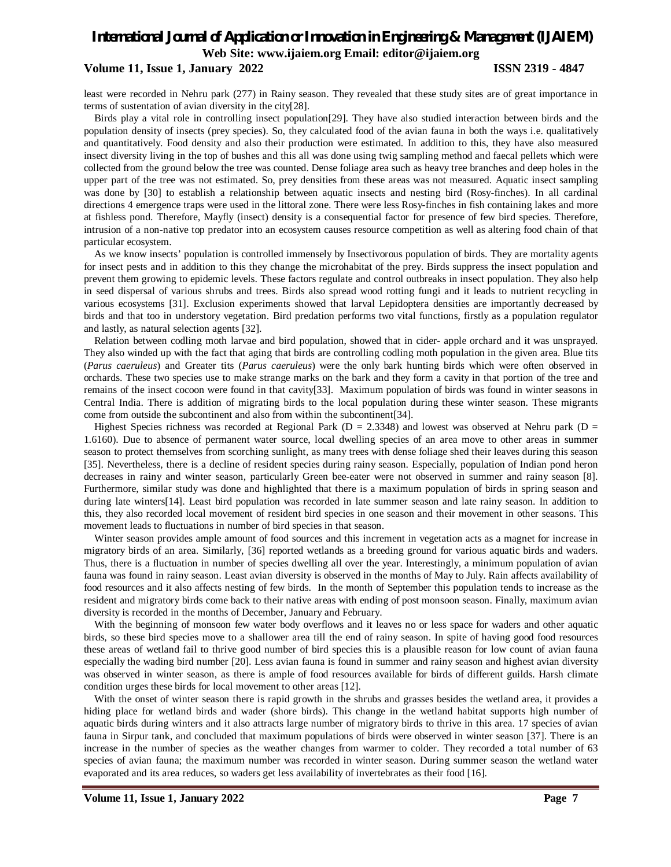### **Volume 11, Issue 1, January 2022 ISSN 2319 - 4847**

least were recorded in Nehru park (277) in Rainy season. They revealed that these study sites are of great importance in terms of sustentation of avian diversity in the city[28].

Birds play a vital role in controlling insect population[29]. They have also studied interaction between birds and the population density of insects (prey species). So, they calculated food of the avian fauna in both the ways i.e. qualitatively and quantitatively. Food density and also their production were estimated. In addition to this, they have also measured insect diversity living in the top of bushes and this all was done using twig sampling method and faecal pellets which were collected from the ground below the tree was counted. Dense foliage area such as heavy tree branches and deep holes in the upper part of the tree was not estimated. So, prey densities from these areas was not measured. Aquatic insect sampling was done by [30] to establish a relationship between aquatic insects and nesting bird (Rosy-finches). In all cardinal directions 4 emergence traps were used in the littoral zone. There were less Rosy-finches in fish containing lakes and more at fishless pond. Therefore, Mayfly (insect) density is a consequential factor for presence of few bird species. Therefore, intrusion of a non-native top predator into an ecosystem causes resource competition as well as altering food chain of that particular ecosystem.

As we know insects' population is controlled immensely by Insectivorous population of birds. They are mortality agents for insect pests and in addition to this they change the microhabitat of the prey. Birds suppress the insect population and prevent them growing to epidemic levels. These factors regulate and control outbreaks in insect population. They also help in seed dispersal of various shrubs and trees. Birds also spread wood rotting fungi and it leads to nutrient recycling in various ecosystems [31]. Exclusion experiments showed that larval Lepidoptera densities are importantly decreased by birds and that too in understory vegetation. Bird predation performs two vital functions, firstly as a population regulator and lastly, as natural selection agents [32].

Relation between codling moth larvae and bird population, showed that in cider- apple orchard and it was unsprayed. They also winded up with the fact that aging that birds are controlling codling moth population in the given area. Blue tits (*Parus caeruleus*) and Greater tits (*Parus caeruleus*) were the only bark hunting birds which were often observed in orchards. These two species use to make strange marks on the bark and they form a cavity in that portion of the tree and remains of the insect cocoon were found in that cavity[33]. Maximum population of birds was found in winter seasons in Central India. There is addition of migrating birds to the local population during these winter season. These migrants come from outside the subcontinent and also from within the subcontinent[34].

Highest Species richness was recorded at Regional Park ( $D = 2.3348$ ) and lowest was observed at Nehru park ( $D = 2.3348$ ) 1.6160). Due to absence of permanent water source, local dwelling species of an area move to other areas in summer season to protect themselves from scorching sunlight, as many trees with dense foliage shed their leaves during this season [35]. Nevertheless, there is a decline of resident species during rainy season. Especially, population of Indian pond heron decreases in rainy and winter season, particularly Green bee-eater were not observed in summer and rainy season [8]. Furthermore, similar study was done and highlighted that there is a maximum population of birds in spring season and during late winters[14]. Least bird population was recorded in late summer season and late rainy season. In addition to this, they also recorded local movement of resident bird species in one season and their movement in other seasons. This movement leads to fluctuations in number of bird species in that season.

Winter season provides ample amount of food sources and this increment in vegetation acts as a magnet for increase in migratory birds of an area. Similarly, [36] reported wetlands as a breeding ground for various aquatic birds and waders. Thus, there is a fluctuation in number of species dwelling all over the year. Interestingly, a minimum population of avian fauna was found in rainy season. Least avian diversity is observed in the months of May to July. Rain affects availability of food resources and it also affects nesting of few birds. In the month of September this population tends to increase as the resident and migratory birds come back to their native areas with ending of post monsoon season. Finally, maximum avian diversity is recorded in the months of December, January and February.

With the beginning of monsoon few water body overflows and it leaves no or less space for waders and other aquatic birds, so these bird species move to a shallower area till the end of rainy season. In spite of having good food resources these areas of wetland fail to thrive good number of bird species this is a plausible reason for low count of avian fauna especially the wading bird number [20]. Less avian fauna is found in summer and rainy season and highest avian diversity was observed in winter season, as there is ample of food resources available for birds of different guilds. Harsh climate condition urges these birds for local movement to other areas [12].

With the onset of winter season there is rapid growth in the shrubs and grasses besides the wetland area, it provides a hiding place for wetland birds and wader (shore birds). This change in the wetland habitat supports high number of aquatic birds during winters and it also attracts large number of migratory birds to thrive in this area. 17 species of avian fauna in Sirpur tank, and concluded that maximum populations of birds were observed in winter season [37]. There is an increase in the number of species as the weather changes from warmer to colder. They recorded a total number of 63 species of avian fauna; the maximum number was recorded in winter season. During summer season the wetland water evaporated and its area reduces, so waders get less availability of invertebrates as their food [16].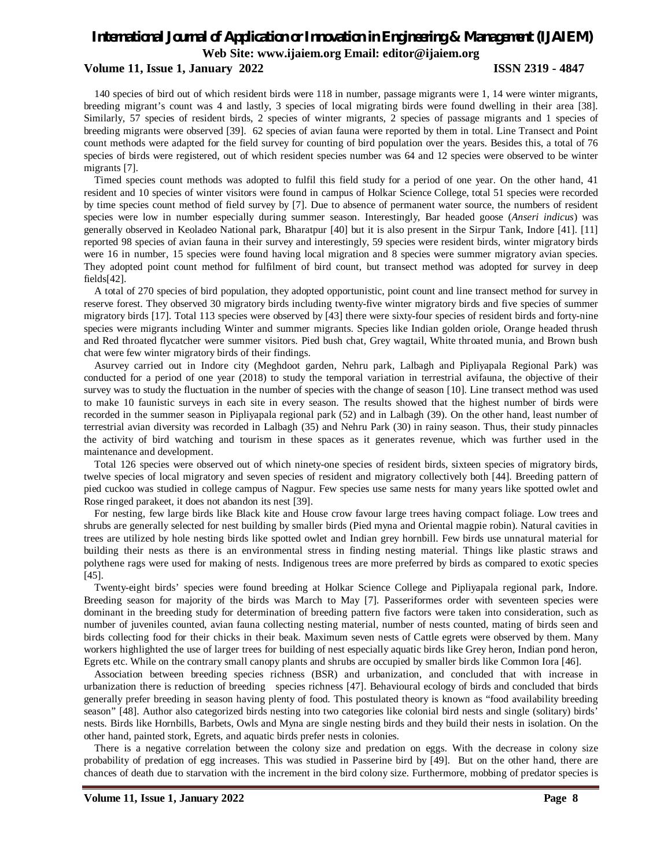### **Volume 11, Issue 1, January 2022 ISSN 2319 - 4847**

140 species of bird out of which resident birds were 118 in number, passage migrants were 1, 14 were winter migrants, breeding migrant's count was 4 and lastly, 3 species of local migrating birds were found dwelling in their area [38]. Similarly, 57 species of resident birds, 2 species of winter migrants, 2 species of passage migrants and 1 species of breeding migrants were observed [39]. 62 species of avian fauna were reported by them in total. Line Transect and Point count methods were adapted for the field survey for counting of bird population over the years. Besides this, a total of 76 species of birds were registered, out of which resident species number was 64 and 12 species were observed to be winter migrants [7].

Timed species count methods was adopted to fulfil this field study for a period of one year. On the other hand, 41 resident and 10 species of winter visitors were found in campus of Holkar Science College, total 51 species were recorded by time species count method of field survey by [7]. Due to absence of permanent water source, the numbers of resident species were low in number especially during summer season. Interestingly, Bar headed goose (*Anseri indicus*) was generally observed in Keoladeo National park, Bharatpur [40] but it is also present in the Sirpur Tank, Indore [41]. [11] reported 98 species of avian fauna in their survey and interestingly, 59 species were resident birds, winter migratory birds were 16 in number, 15 species were found having local migration and 8 species were summer migratory avian species. They adopted point count method for fulfilment of bird count, but transect method was adopted for survey in deep fields[42].

A total of 270 species of bird population, they adopted opportunistic, point count and line transect method for survey in reserve forest. They observed 30 migratory birds including twenty-five winter migratory birds and five species of summer migratory birds [17]. Total 113 species were observed by [43] there were sixty-four species of resident birds and forty-nine species were migrants including Winter and summer migrants. Species like Indian golden oriole, Orange headed thrush and Red throated flycatcher were summer visitors. Pied bush chat, Grey wagtail, White throated munia, and Brown bush chat were few winter migratory birds of their findings.

Asurvey carried out in Indore city (Meghdoot garden, Nehru park, Lalbagh and Pipliyapala Regional Park) was conducted for a period of one year (2018) to study the temporal variation in terrestrial avifauna, the objective of their survey was to study the fluctuation in the number of species with the change of season [10]. Line transect method was used to make 10 faunistic surveys in each site in every season. The results showed that the highest number of birds were recorded in the summer season in Pipliyapala regional park (52) and in Lalbagh (39). On the other hand, least number of terrestrial avian diversity was recorded in Lalbagh (35) and Nehru Park (30) in rainy season. Thus, their study pinnacles the activity of bird watching and tourism in these spaces as it generates revenue, which was further used in the maintenance and development.

Total 126 species were observed out of which ninety-one species of resident birds, sixteen species of migratory birds, twelve species of local migratory and seven species of resident and migratory collectively both [44]. Breeding pattern of pied cuckoo was studied in college campus of Nagpur. Few species use same nests for many years like spotted owlet and Rose ringed parakeet, it does not abandon its nest [39].

For nesting, few large birds like Black kite and House crow favour large trees having compact foliage. Low trees and shrubs are generally selected for nest building by smaller birds (Pied myna and Oriental magpie robin). Natural cavities in trees are utilized by hole nesting birds like spotted owlet and Indian grey hornbill. Few birds use unnatural material for building their nests as there is an environmental stress in finding nesting material. Things like plastic straws and polythene rags were used for making of nests. Indigenous trees are more preferred by birds as compared to exotic species [45].

Twenty-eight birds' species were found breeding at Holkar Science College and Pipliyapala regional park, Indore. Breeding season for majority of the birds was March to May [7]. Passeriformes order with seventeen species were dominant in the breeding study for determination of breeding pattern five factors were taken into consideration, such as number of juveniles counted, avian fauna collecting nesting material, number of nests counted, mating of birds seen and birds collecting food for their chicks in their beak. Maximum seven nests of Cattle egrets were observed by them. Many workers highlighted the use of larger trees for building of nest especially aquatic birds like Grey heron, Indian pond heron, Egrets etc. While on the contrary small canopy plants and shrubs are occupied by smaller birds like Common Iora [46].

Association between breeding species richness (BSR) and urbanization, and concluded that with increase in urbanization there is reduction of breeding species richness [47]. Behavioural ecology of birds and concluded that birds generally prefer breeding in season having plenty of food. This postulated theory is known as "food availability breeding season" [48]. Author also categorized birds nesting into two categories like colonial bird nests and single (solitary) birds' nests. Birds like Hornbills, Barbets, Owls and Myna are single nesting birds and they build their nests in isolation. On the other hand, painted stork, Egrets, and aquatic birds prefer nests in colonies.

There is a negative correlation between the colony size and predation on eggs. With the decrease in colony size probability of predation of egg increases. This was studied in Passerine bird by [49]. But on the other hand, there are chances of death due to starvation with the increment in the bird colony size. Furthermore, mobbing of predator species is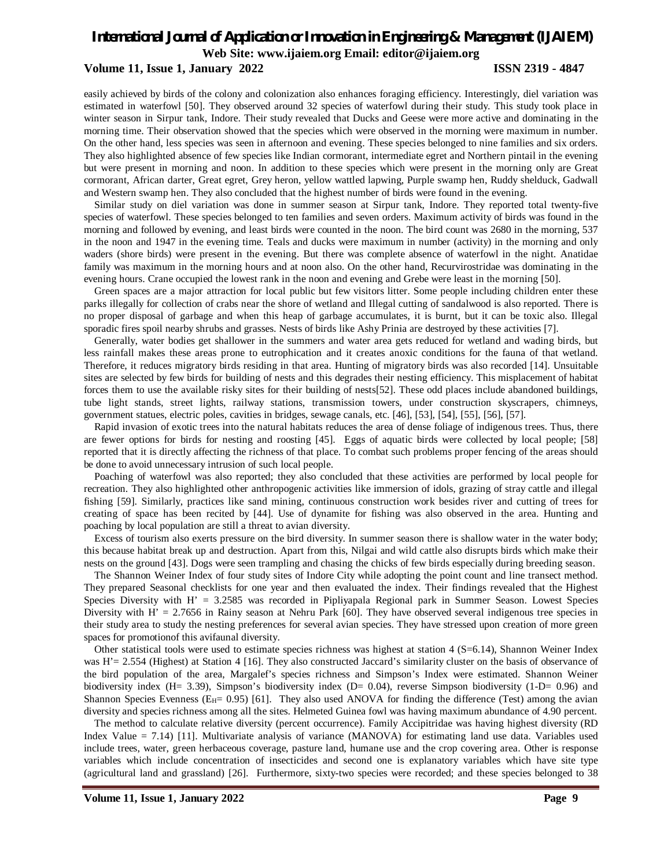#### **Volume 11, Issue 1, January 2022 ISSN 2319 - 4847**

easily achieved by birds of the colony and colonization also enhances foraging efficiency. Interestingly, diel variation was estimated in waterfowl [50]. They observed around 32 species of waterfowl during their study. This study took place in winter season in Sirpur tank, Indore. Their study revealed that Ducks and Geese were more active and dominating in the morning time. Their observation showed that the species which were observed in the morning were maximum in number. On the other hand, less species was seen in afternoon and evening. These species belonged to nine families and six orders. They also highlighted absence of few species like Indian cormorant, intermediate egret and Northern pintail in the evening but were present in morning and noon. In addition to these species which were present in the morning only are Great cormorant, African darter, Great egret, Grey heron, yellow wattled lapwing, Purple swamp hen, Ruddy shelduck, Gadwall and Western swamp hen. They also concluded that the highest number of birds were found in the evening.

Similar study on diel variation was done in summer season at Sirpur tank, Indore. They reported total twenty-five species of waterfowl. These species belonged to ten families and seven orders. Maximum activity of birds was found in the morning and followed by evening, and least birds were counted in the noon. The bird count was 2680 in the morning, 537 in the noon and 1947 in the evening time. Teals and ducks were maximum in number (activity) in the morning and only waders (shore birds) were present in the evening. But there was complete absence of waterfowl in the night. Anatidae family was maximum in the morning hours and at noon also. On the other hand, Recurvirostridae was dominating in the evening hours. Crane occupied the lowest rank in the noon and evening and Grebe were least in the morning [50].

Green spaces are a major attraction for local public but few visitors litter. Some people including children enter these parks illegally for collection of crabs near the shore of wetland and Illegal cutting of sandalwood is also reported. There is no proper disposal of garbage and when this heap of garbage accumulates, it is burnt, but it can be toxic also. Illegal sporadic fires spoil nearby shrubs and grasses. Nests of birds like Ashy Prinia are destroyed by these activities [7].

Generally, water bodies get shallower in the summers and water area gets reduced for wetland and wading birds, but less rainfall makes these areas prone to eutrophication and it creates anoxic conditions for the fauna of that wetland. Therefore, it reduces migratory birds residing in that area. Hunting of migratory birds was also recorded [14]. Unsuitable sites are selected by few birds for building of nests and this degrades their nesting efficiency. This misplacement of habitat forces them to use the available risky sites for their building of nests[52]. These odd places include abandoned buildings, tube light stands, street lights, railway stations, transmission towers, under construction skyscrapers, chimneys, government statues, electric poles, cavities in bridges, sewage canals, etc. [46], [53], [54], [55], [56], [57].

Rapid invasion of exotic trees into the natural habitats reduces the area of dense foliage of indigenous trees. Thus, there are fewer options for birds for nesting and roosting [45]. Eggs of aquatic birds were collected by local people; [58] reported that it is directly affecting the richness of that place. To combat such problems proper fencing of the areas should be done to avoid unnecessary intrusion of such local people.

Poaching of waterfowl was also reported; they also concluded that these activities are performed by local people for recreation. They also highlighted other anthropogenic activities like immersion of idols, grazing of stray cattle and illegal fishing [59]. Similarly, practices like sand mining, continuous construction work besides river and cutting of trees for creating of space has been recited by [44]. Use of dynamite for fishing was also observed in the area. Hunting and poaching by local population are still a threat to avian diversity.

Excess of tourism also exerts pressure on the bird diversity. In summer season there is shallow water in the water body; this because habitat break up and destruction. Apart from this, Nilgai and wild cattle also disrupts birds which make their nests on the ground [43]. Dogs were seen trampling and chasing the chicks of few birds especially during breeding season.

The Shannon Weiner Index of four study sites of Indore City while adopting the point count and line transect method. They prepared Seasonal checklists for one year and then evaluated the index. Their findings revealed that the Highest Species Diversity with H' = 3.2585 was recorded in Pipliyapala Regional park in Summer Season. Lowest Species Diversity with  $H' = 2.7656$  in Rainy season at Nehru Park [60]. They have observed several indigenous tree species in their study area to study the nesting preferences for several avian species. They have stressed upon creation of more green spaces for promotionof this avifaunal diversity.

Other statistical tools were used to estimate species richness was highest at station 4 (S=6.14), Shannon Weiner Index was H'= 2.554 (Highest) at Station 4 [16]. They also constructed Jaccard's similarity cluster on the basis of observance of the bird population of the area, Margalef's species richness and Simpson's Index were estimated. Shannon Weiner biodiversity index (H= 3.39), Simpson's biodiversity index (D= 0.04), reverse Simpson biodiversity (1-D= 0.96) and Shannon Species Evenness ( $E_H$ = 0.95) [61]. They also used ANOVA for finding the difference (Test) among the avian diversity and species richness among all the sites. Helmeted Guinea fowl was having maximum abundance of 4.90 percent.

The method to calculate relative diversity (percent occurrence). Family Accipitridae was having highest diversity (RD Index Value = 7.14) [11]. Multivariate analysis of variance (MANOVA) for estimating land use data. Variables used include trees, water, green herbaceous coverage, pasture land, humane use and the crop covering area. Other is response variables which include concentration of insecticides and second one is explanatory variables which have site type (agricultural land and grassland) [26]. Furthermore, sixty-two species were recorded; and these species belonged to 38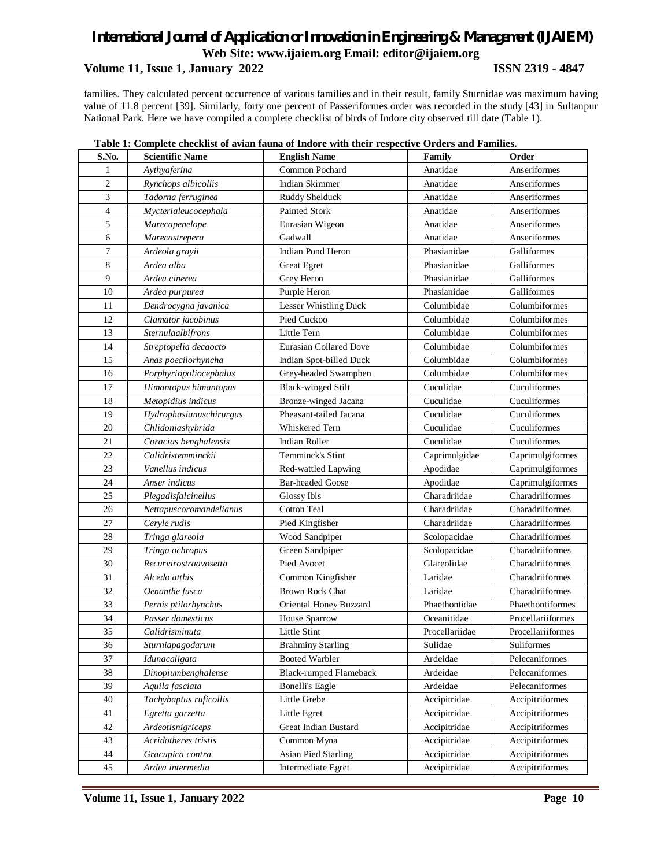## **Volume 11, Issue 1, January 2022 ISSN 2319 - 4847**

families. They calculated percent occurrence of various families and in their result, family Sturnidae was maximum having value of 11.8 percent [39]. Similarly, forty one percent of Passeriformes order was recorded in the study [43] in Sultanpur National Park. Here we have compiled a complete checklist of birds of Indore city observed till date (Table 1).

| S.No.          | <b>Scientific Name</b>  | <b>English Name</b>           | Family         | Order             |
|----------------|-------------------------|-------------------------------|----------------|-------------------|
| 1              | Aythyaferina            | Common Pochard                | Anatidae       | Anseriformes      |
| $\mathfrak{2}$ | Rynchops albicollis     | <b>Indian Skimmer</b>         | Anatidae       | Anseriformes      |
| 3              | Tadorna ferruginea      | Ruddy Shelduck                | Anatidae       | Anseriformes      |
| 4              | Mycterialeucocephala    | <b>Painted Stork</b>          | Anatidae       | Anseriformes      |
| 5              | Marecapenelope          | Eurasian Wigeon               | Anatidae       | Anseriformes      |
| 6              | Marecastrepera          | Gadwall                       | Anatidae       | Anseriformes      |
| 7              | Ardeola grayii          | Indian Pond Heron             | Phasianidae    | Galliformes       |
| 8              | Ardea alba              | <b>Great Egret</b>            | Phasianidae    | Galliformes       |
| 9              | Ardea cinerea           | Grey Heron                    | Phasianidae    | Galliformes       |
| 10             | Ardea purpurea          | Purple Heron                  | Phasianidae    | Galliformes       |
| 11             | Dendrocygna javanica    | Lesser Whistling Duck         | Columbidae     | Columbiformes     |
| 12             | Clamator jacobinus      | Pied Cuckoo                   | Columbidae     | Columbiformes     |
| 13             | Sternulaalbifrons       | Little Tern                   | Columbidae     | Columbiformes     |
| 14             | Streptopelia decaocto   | <b>Eurasian Collared Dove</b> | Columbidae     | Columbiformes     |
| 15             | Anas poecilorhyncha     | Indian Spot-billed Duck       | Columbidae     | Columbiformes     |
| 16             | Porphyriopoliocephalus  | Grey-headed Swamphen          | Columbidae     | Columbiformes     |
| 17             | Himantopus himantopus   | <b>Black-winged Stilt</b>     | Cuculidae      | Cuculiformes      |
| 18             | Metopidius indicus      | Bronze-winged Jacana          | Cuculidae      | Cuculiformes      |
| 19             | Hydrophasianuschirurgus | Pheasant-tailed Jacana        | Cuculidae      | Cuculiformes      |
| 20             | Chlidoniashybrida       | Whiskered Tern                | Cuculidae      | Cuculiformes      |
| 21             | Coracias benghalensis   | Indian Roller                 | Cuculidae      | Cuculiformes      |
| 22             | Calidristemminckii      | Temminck's Stint              | Caprimulgidae  | Caprimulgiformes  |
| 23             | Vanellus indicus        | Red-wattled Lapwing           | Apodidae       | Caprimulgiformes  |
| 24             | Anser indicus           | <b>Bar-headed Goose</b>       | Apodidae       | Caprimulgiformes  |
| 25             | Plegadisfalcinellus     | Glossy Ibis                   | Charadriidae   | Charadriiformes   |
| 26             | Nettapuscoromandelianus | <b>Cotton Teal</b>            | Charadriidae   | Charadriiformes   |
| 27             | Ceryle rudis            | Pied Kingfisher               | Charadriidae   | Charadriiformes   |
| 28             | Tringa glareola         | Wood Sandpiper                | Scolopacidae   | Charadriiformes   |
| 29             | Tringa ochropus         | Green Sandpiper               | Scolopacidae   | Charadriiformes   |
| 30             | Recurvirostraavosetta   | Pied Avocet                   | Glareolidae    | Charadriiformes   |
| 31             | Alcedo atthis           | Common Kingfisher             | Laridae        | Charadriiformes   |
| 32             | Oenanthe fusca          | <b>Brown Rock Chat</b>        | Laridae        | Charadriiformes   |
| 33             | Pernis ptilorhynchus    | Oriental Honey Buzzard        | Phaethontidae  | Phaethontiformes  |
| 34             | Passer domesticus       | House Sparrow                 | Oceanitidae    | Procellariiformes |
| 35             | Calidrisminuta          | Little Stint                  | Procellariidae | Procellariiformes |
| 36             | Sturniapagodarum        | <b>Brahminy Starling</b>      | Sulidae        | Suliformes        |
| 37             | Idunacaligata           | <b>Booted Warbler</b>         | Ardeidae       | Pelecaniformes    |
| 38             | Dinopiumbenghalense     | <b>Black-rumped Flameback</b> | Ardeidae       | Pelecaniformes    |
| 39             | Aquila fasciata         | <b>Bonelli's Eagle</b>        | Ardeidae       | Pelecaniformes    |
| 40             | Tachybaptus ruficollis  | Little Grebe                  | Accipitridae   | Accipitriformes   |
| 41             | Egretta garzetta        | Little Egret                  | Accipitridae   | Accipitriformes   |
| 42             | Ardeotisnigriceps       | Great Indian Bustard          | Accipitridae   | Accipitriformes   |
| 43             | Acridotheres tristis    | Common Myna                   | Accipitridae   | Accipitriformes   |
| 44             | Gracupica contra        | <b>Asian Pied Starling</b>    | Accipitridae   | Accipitriformes   |
| 45             | Ardea intermedia        | Intermediate Egret            | Accipitridae   | Accipitriformes   |

#### **Table 1: Complete checklist of avian fauna of Indore with their respective Orders and Families.**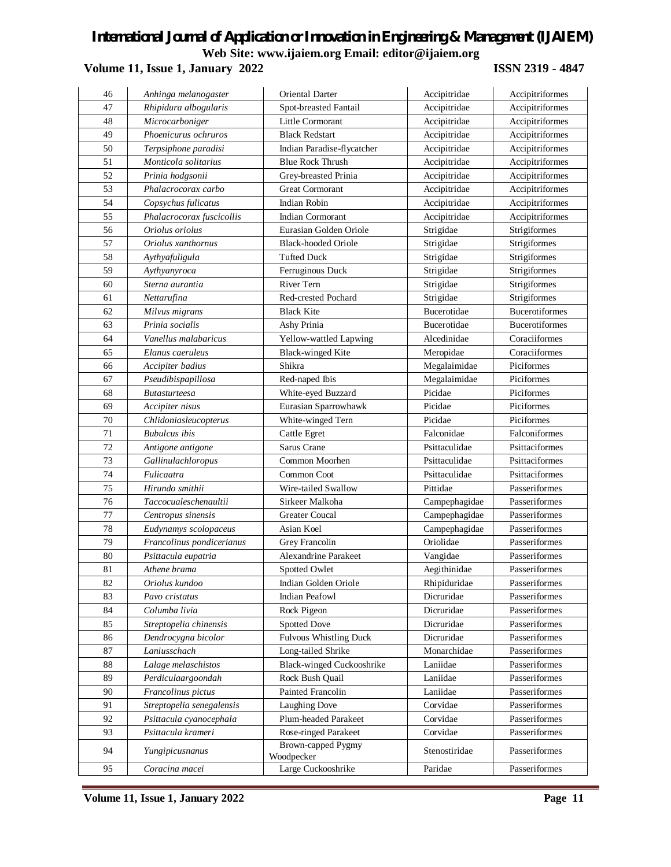## **Volume 11, Issue 1, January 2022 ISSN 2319 - 4847**

| 46 | Anhinga melanogaster      | Oriental Darter                  | Accipitridae       | Accipitriformes       |
|----|---------------------------|----------------------------------|--------------------|-----------------------|
| 47 | Rhipidura albogularis     | Spot-breasted Fantail            | Accipitridae       | Accipitriformes       |
| 48 | Microcarboniger           | Little Cormorant                 | Accipitridae       | Accipitriformes       |
| 49 | Phoenicurus ochruros      | <b>Black Redstart</b>            | Accipitridae       | Accipitriformes       |
| 50 | Terpsiphone paradisi      | Indian Paradise-flycatcher       | Accipitridae       | Accipitriformes       |
| 51 | Monticola solitarius      | <b>Blue Rock Thrush</b>          | Accipitridae       | Accipitriformes       |
| 52 | Prinia hodgsonii          | Grey-breasted Prinia             | Accipitridae       | Accipitriformes       |
| 53 | Phalacrocorax carbo       | <b>Great Cormorant</b>           | Accipitridae       | Accipitriformes       |
| 54 | Copsychus fulicatus       | <b>Indian Robin</b>              | Accipitridae       | Accipitriformes       |
| 55 | Phalacrocorax fuscicollis | <b>Indian Cormorant</b>          | Accipitridae       | Accipitriformes       |
| 56 | Oriolus oriolus           | Eurasian Golden Oriole           | Strigidae          | Strigiformes          |
| 57 | Oriolus xanthornus        | <b>Black-hooded Oriole</b>       | Strigidae          | Strigiformes          |
| 58 | Aythyafuligula            | <b>Tufted Duck</b>               | Strigidae          | Strigiformes          |
| 59 | Aythyanyroca              | Ferruginous Duck                 | Strigidae          | Strigiformes          |
| 60 | Sterna aurantia           | River Tern                       | Strigidae          | Strigiformes          |
| 61 | Nettarufina               | Red-crested Pochard              | Strigidae          | Strigiformes          |
| 62 | Milvus migrans            | <b>Black Kite</b>                | Bucerotidae        | <b>Bucerotiformes</b> |
| 63 | Prinia socialis           | Ashy Prinia                      | <b>Bucerotidae</b> | <b>Bucerotiformes</b> |
| 64 | Vanellus malabaricus      | Yellow-wattled Lapwing           | Alcedinidae        | Coraciiformes         |
| 65 | Elanus caeruleus          | <b>Black-winged Kite</b>         | Meropidae          | Coraciiformes         |
| 66 | Accipiter badius          | Shikra                           | Megalaimidae       | Piciformes            |
| 67 | Pseudibispapillosa        | Red-naped Ibis                   | Megalaimidae       | Piciformes            |
| 68 | <i>Butasturteesa</i>      | White-eyed Buzzard               | Picidae            | Piciformes            |
| 69 | Accipiter nisus           | Eurasian Sparrowhawk             | Picidae            | Piciformes            |
| 70 | Chlidoniasleucopterus     | White-winged Tern                | Picidae            | Piciformes            |
| 71 | <b>Bubulcus</b> ibis      | Cattle Egret                     | Falconidae         | Falconiformes         |
| 72 | Antigone antigone         | Sarus Crane                      | Psittaculidae      | Psittaciformes        |
| 73 | Gallinulachloropus        | Common Moorhen                   | Psittaculidae      | Psittaciformes        |
| 74 | Fulicaatra                | Common Coot                      | Psittaculidae      | Psittaciformes        |
| 75 | Hirundo smithii           | Wire-tailed Swallow              | Pittidae           | Passeriformes         |
| 76 | Taccocualeschenaultii     | Sirkeer Malkoha                  | Campephagidae      | Passeriformes         |
| 77 | Centropus sinensis        | <b>Greater Coucal</b>            | Campephagidae      | Passeriformes         |
| 78 | Eudynamys scolopaceus     | Asian Koel                       | Campephagidae      | Passeriformes         |
| 79 | Francolinus pondicerianus | <b>Grey Francolin</b>            | Oriolidae          | Passeriformes         |
| 80 | Psittacula eupatria       | <b>Alexandrine Parakeet</b>      | Vangidae           | Passeriformes         |
| 81 | Athene brama              | <b>Spotted Owlet</b>             | Aegithinidae       | Passeriformes         |
| 82 | Oriolus kundoo            | Indian Golden Oriole             | Rhipiduridae       | Passeriformes         |
| 83 | Pavo cristatus            | <b>Indian Peafowl</b>            | Dicruridae         | Passeriformes         |
| 84 | Columba livia             | Rock Pigeon                      | Dicruridae         | Passeriformes         |
| 85 | Streptopelia chinensis    | <b>Spotted Dove</b>              | Dicruridae         | Passeriformes         |
| 86 | Dendrocygna bicolor       | <b>Fulvous Whistling Duck</b>    | Dicruridae         | Passeriformes         |
| 87 | Laniusschach              | Long-tailed Shrike               | Monarchidae        | Passeriformes         |
| 88 | Lalage melaschistos       | Black-winged Cuckooshrike        | Laniidae           | Passeriformes         |
| 89 | Perdiculaargoondah        | Rock Bush Quail                  | Laniidae           | Passeriformes         |
| 90 | Francolinus pictus        | Painted Francolin                | Laniidae           | Passeriformes         |
| 91 | Streptopelia senegalensis | Laughing Dove                    | Corvidae           | Passeriformes         |
| 92 | Psittacula cyanocephala   | Plum-headed Parakeet             | Corvidae           | Passeriformes         |
| 93 | Psittacula krameri        | Rose-ringed Parakeet             | Corvidae           | Passeriformes         |
| 94 | Yungipicusnanus           | Brown-capped Pygmy<br>Woodpecker | Stenostiridae      | Passeriformes         |
| 95 | Coracina macei            | Large Cuckooshrike               | Paridae            | Passeriformes         |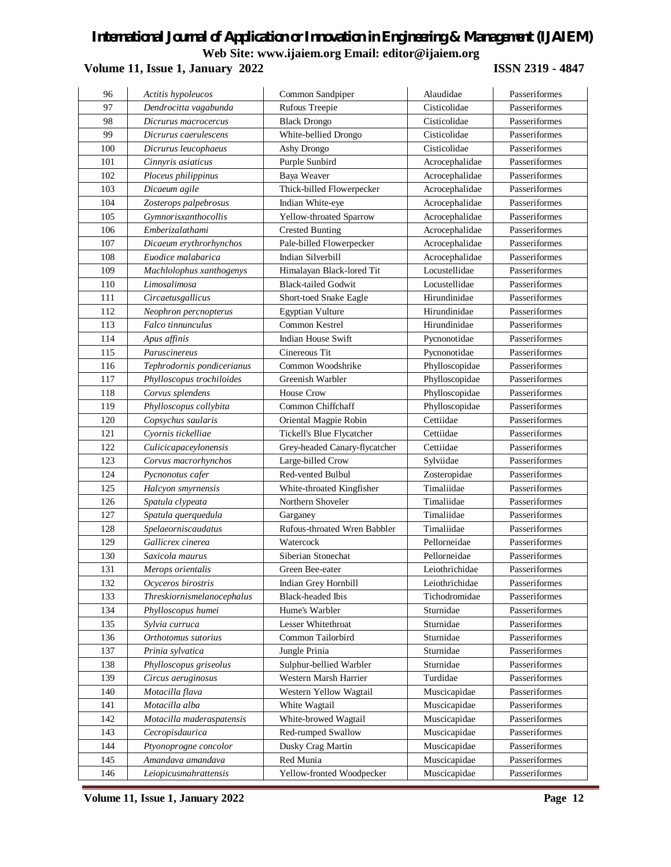## **Volume 11, Issue 1, January 2022 ISSN 2319 - 4847**

| 96  | Actitis hypoleucos         | Common Sandpiper              | Alaudidae      | Passeriformes |
|-----|----------------------------|-------------------------------|----------------|---------------|
| 97  | Dendrocitta vagabunda      | Rufous Treepie                | Cisticolidae   | Passeriformes |
| 98  | Dicrurus macrocercus       | <b>Black Drongo</b>           | Cisticolidae   | Passeriformes |
| 99  | Dicrurus caerulescens      | White-bellied Drongo          | Cisticolidae   | Passeriformes |
| 100 | Dicrurus leucophaeus       | Ashy Drongo                   | Cisticolidae   | Passeriformes |
| 101 | Cinnyris asiaticus         | Purple Sunbird                | Acrocephalidae | Passeriformes |
| 102 | Ploceus philippinus        | Baya Weaver                   | Acrocephalidae | Passeriformes |
| 103 | Dicaeum agile              | Thick-billed Flowerpecker     | Acrocephalidae | Passeriformes |
| 104 | Zosterops palpebrosus      | Indian White-eye              | Acrocephalidae | Passeriformes |
| 105 | Gymnorisxanthocollis       | Yellow-throated Sparrow       | Acrocephalidae | Passeriformes |
| 106 | Emberizalathami            | <b>Crested Bunting</b>        | Acrocephalidae | Passeriformes |
| 107 | Dicaeum erythrorhynchos    | Pale-billed Flowerpecker      | Acrocephalidae | Passeriformes |
| 108 | Euodice malabarica         | Indian Silverbill             | Acrocephalidae | Passeriformes |
| 109 | Machlolophus xanthogenys   | Himalayan Black-lored Tit     | Locustellidae  | Passeriformes |
| 110 | Limosalimosa               | <b>Black-tailed Godwit</b>    | Locustellidae  | Passeriformes |
| 111 | Circaetusgallicus          | Short-toed Snake Eagle        | Hirundinidae   | Passeriformes |
| 112 | Neophron percnopterus      | <b>Egyptian Vulture</b>       | Hirundinidae   | Passeriformes |
| 113 | Falco tinnunculus          | Common Kestrel                | Hirundinidae   | Passeriformes |
| 114 | Apus affinis               | <b>Indian House Swift</b>     | Pycnonotidae   | Passeriformes |
| 115 | Paruscinereus              | Cinereous Tit                 | Pycnonotidae   | Passeriformes |
| 116 | Tephrodornis pondicerianus | Common Woodshrike             | Phylloscopidae | Passeriformes |
| 117 | Phylloscopus trochiloides  | Greenish Warbler              | Phylloscopidae | Passeriformes |
| 118 | Corvus splendens           | <b>House Crow</b>             | Phylloscopidae | Passeriformes |
| 119 | Phylloscopus collybita     | Common Chiffchaff             | Phylloscopidae | Passeriformes |
| 120 | Copsychus saularis         | Oriental Magpie Robin         | Cettiidae      | Passeriformes |
| 121 | Cvornis tickelliae         | Tickell's Blue Flycatcher     | Cettiidae      | Passeriformes |
| 122 | Culicicapaceylonensis      | Grey-headed Canary-flycatcher | Cettiidae      | Passeriformes |
| 123 | Corvus macrorhynchos       | Large-billed Crow             | Sylviidae      | Passeriformes |
| 124 | Pycnonotus cafer           | Red-vented Bulbul             | Zosteropidae   | Passeriformes |
| 125 | Halcyon smyrnensis         | White-throated Kingfisher     | Timaliidae     | Passeriformes |
| 126 | Spatula clypeata           | Northern Shoveler             | Timaliidae     | Passeriformes |
| 127 | Spatula querquedula        | Garganey                      | Timaliidae     | Passeriformes |
| 128 | Spelaeorniscaudatus        | Rufous-throated Wren Babbler  | Timaliidae     | Passeriformes |
| 129 | Gallicrex cinerea          | Watercock                     | Pellorneidae   | Passeriformes |
| 130 | Saxicola maurus            | Siberian Stonechat            | Pellorneidae   | Passeriformes |
| 131 | Merops orientalis          | Green Bee-eater               | Leiothrichidae | Passeriformes |
| 132 | Ocyceros birostris         | Indian Grey Hornbill          | Leiothrichidae | Passeriformes |
| 133 | Threskiornismelanocephalus | <b>Black-headed Ibis</b>      | Tichodromidae  | Passeriformes |
| 134 | Phylloscopus humei         | Hume's Warbler                | Sturnidae      | Passeriformes |
| 135 | Sylvia curruca             | Lesser Whitethroat            | Sturnidae      | Passeriformes |
| 136 | Orthotomus sutorius        | Common Tailorbird             | Sturnidae      | Passeriformes |
| 137 | Prinia sylvatica           | Jungle Prinia                 | Sturnidae      | Passeriformes |
| 138 | Phylloscopus griseolus     | Sulphur-bellied Warbler       | Sturnidae      | Passeriformes |
| 139 | Circus aeruginosus         | Western Marsh Harrier         | Turdidae       | Passeriformes |
| 140 | Motacilla flava            | Western Yellow Wagtail        | Muscicapidae   | Passeriformes |
| 141 | Motacilla alba             | White Wagtail                 | Muscicapidae   | Passeriformes |
| 142 | Motacilla maderaspatensis  | White-browed Wagtail          | Muscicapidae   | Passeriformes |
| 143 | Cecropisdaurica            | Red-rumped Swallow            | Muscicapidae   | Passeriformes |
| 144 | Ptyonoprogne concolor      | Dusky Crag Martin             | Muscicapidae   | Passeriformes |
| 145 | Amandava amandava          | Red Munia                     | Muscicapidae   | Passeriformes |
| 146 | Leiopicusmahrattensis      | Yellow-fronted Woodpecker     | Muscicapidae   | Passeriformes |

**Volume 11, Issue 1, January 2022 Page 12**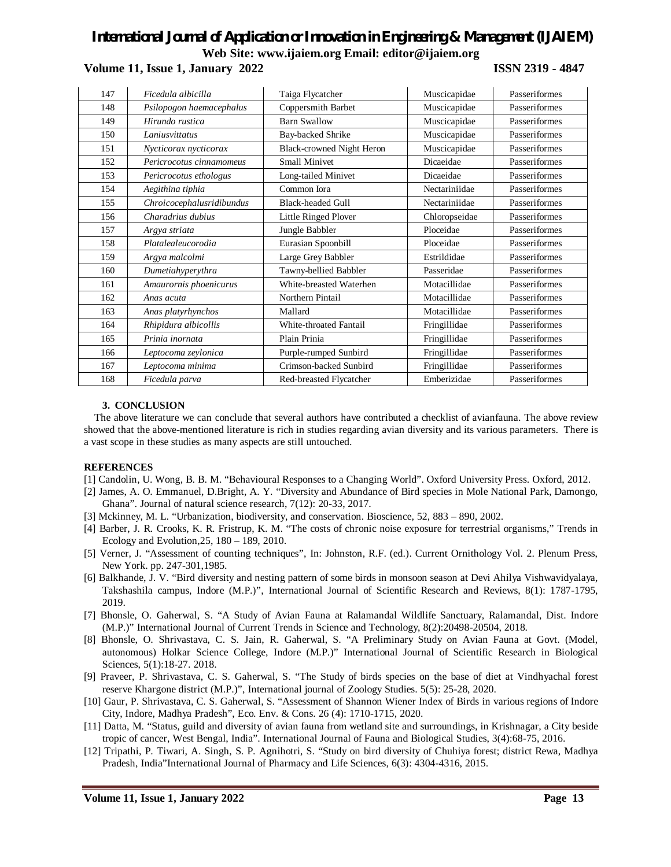**Volume 11, Issue 1, January 2022 ISSN 2319 - 4847**

| 147 | Ficedula albicilla        | Taiga Flycatcher          | Muscicapidae  | Passeriformes |
|-----|---------------------------|---------------------------|---------------|---------------|
| 148 | Psilopogon haemacephalus  | Coppersmith Barbet        | Muscicapidae  | Passeriformes |
| 149 | Hirundo rustica           | <b>Barn Swallow</b>       | Muscicapidae  | Passeriformes |
| 150 | Laniusvittatus            | Bay-backed Shrike         | Muscicapidae  | Passeriformes |
| 151 | Nycticorax nycticorax     | Black-crowned Night Heron | Muscicapidae  | Passeriformes |
| 152 | Pericrocotus cinnamomeus  | <b>Small Minivet</b>      | Dicaeidae     | Passeriformes |
| 153 | Pericrocotus ethologus    | Long-tailed Minivet       | Dicaeidae     | Passeriformes |
| 154 | Aegithina tiphia          | Common Iora               | Nectariniidae | Passeriformes |
| 155 | Chroicocephalusridibundus | <b>Black-headed Gull</b>  | Nectariniidae | Passeriformes |
| 156 | Charadrius dubius         | Little Ringed Plover      | Chloropseidae | Passeriformes |
| 157 | Argya striata             | Jungle Babbler            | Ploceidae     | Passeriformes |
| 158 | Platalealeucorodia        | Eurasian Spoonbill        | Ploceidae     | Passeriformes |
| 159 | Argya malcolmi            | Large Grey Babbler        | Estrildidae   | Passeriformes |
| 160 | Dumetiahyperythra         | Tawny-bellied Babbler     | Passeridae    | Passeriformes |
| 161 | Amaurornis phoenicurus    | White-breasted Waterhen   | Motacillidae  | Passeriformes |
| 162 | Anas acuta                | Northern Pintail          | Motacillidae  | Passeriformes |
| 163 | Anas platyrhynchos        | Mallard                   | Motacillidae  | Passeriformes |
| 164 | Rhipidura albicollis      | White-throated Fantail    | Fringillidae  | Passeriformes |
| 165 | Prinia inornata           | Plain Prinia              | Fringillidae  | Passeriformes |
| 166 | Leptocoma zeylonica       | Purple-rumped Sunbird     | Fringillidae  | Passeriformes |
| 167 | Leptocoma minima          | Crimson-backed Sunbird    | Fringillidae  | Passeriformes |
| 168 | Ficedula parva            | Red-breasted Flycatcher   | Emberizidae   | Passeriformes |

### **3. CONCLUSION**

The above literature we can conclude that several authors have contributed a checklist of avianfauna. The above review showed that the above-mentioned literature is rich in studies regarding avian diversity and its various parameters. There is a vast scope in these studies as many aspects are still untouched.

#### **REFERENCES**

- [1] Candolin, U. Wong, B. B. M. "Behavioural Responses to a Changing World". Oxford University Press. Oxford, 2012.
- [2] James, A. O. Emmanuel, D.Bright, A. Y. "Diversity and Abundance of Bird species in Mole National Park, Damongo, Ghana". Journal of natural science research, 7(12): 20-33, 2017.
- [3] Mckinney, M. L. "Urbanization, biodiversity, and conservation. Bioscience, 52, 883 890, 2002.
- [4] Barber, J. R. Crooks, K. R. Fristrup, K. M. "The costs of chronic noise exposure for terrestrial organisms," Trends in Ecology and Evolution,25, 180 – 189, 2010.
- [5] Verner, J. "Assessment of counting techniques", In: Johnston, R.F. (ed.). Current Ornithology Vol. 2. Plenum Press, New York. pp. 247-301,1985.
- [6] Balkhande, J. V. "Bird diversity and nesting pattern of some birds in monsoon season at Devi Ahilya Vishwavidyalaya, Takshashila campus, Indore (M.P.)", International Journal of Scientific Research and Reviews, 8(1): 1787-1795, 2019.
- [7] Bhonsle, O. Gaherwal, S. "A Study of Avian Fauna at Ralamandal Wildlife Sanctuary, Ralamandal, Dist. Indore (M.P.)" International Journal of Current Trends in Science and Technology, 8(2):20498-20504, 2018.
- [8] Bhonsle, O. Shrivastava, C. S. Jain, R. Gaherwal, S. "A Preliminary Study on Avian Fauna at Govt. (Model, autonomous) Holkar Science College, Indore (M.P.)" International Journal of Scientific Research in Biological Sciences, 5(1):18-27. 2018.
- [9] Praveer, P. Shrivastava, C. S. Gaherwal, S. "The Study of birds species on the base of diet at Vindhyachal forest reserve Khargone district (M.P.)", International journal of Zoology Studies. 5(5): 25-28, 2020.
- [10] Gaur, P. Shrivastava, C. S. Gaherwal, S. "Assessment of Shannon Wiener Index of Birds in various regions of Indore City, Indore, Madhya Pradesh", Eco. Env. & Cons. 26 (4): 1710-1715, 2020.
- [11] Datta, M. "Status, guild and diversity of avian fauna from wetland site and surroundings, in Krishnagar, a City beside tropic of cancer, West Bengal, India". International Journal of Fauna and Biological Studies, 3(4):68-75, 2016.
- [12] Tripathi, P. Tiwari, A. Singh, S. P. Agnihotri, S. "Study on bird diversity of Chuhiya forest; district Rewa, Madhya Pradesh, India"International Journal of Pharmacy and Life Sciences, 6(3): 4304-4316, 2015.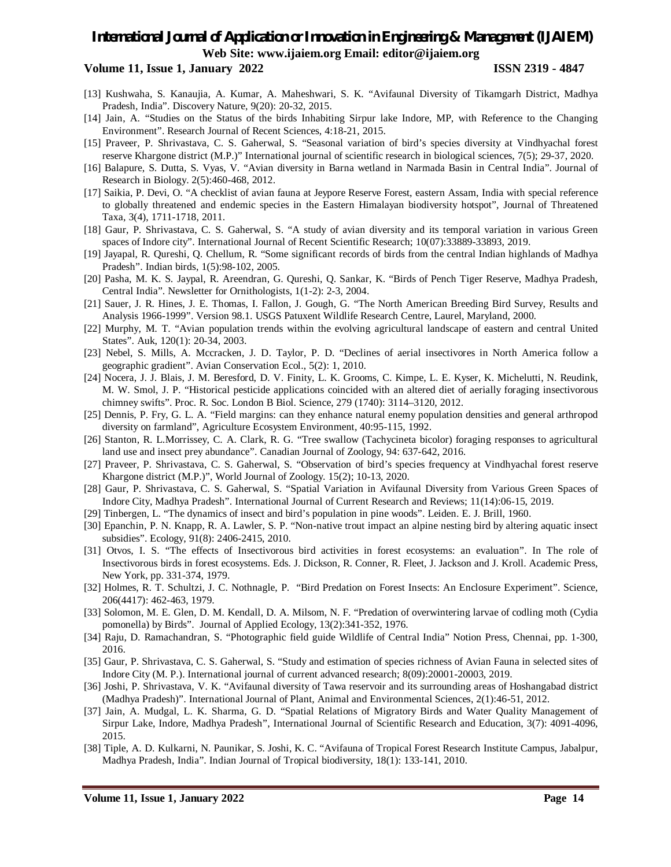### **Volume 11, Issue 1, January 2022 ISSN 2319 - 4847**

- [13] Kushwaha, S. Kanaujia, A. Kumar, A. Maheshwari, S. K. "Avifaunal Diversity of Tikamgarh District, Madhya Pradesh, India". Discovery Nature, 9(20): 20-32, 2015.
- [14] Jain, A. "Studies on the Status of the birds Inhabiting Sirpur lake Indore, MP, with Reference to the Changing Environment". Research Journal of Recent Sciences, 4:18-21, 2015.
- [15] Praveer, P. Shrivastava, C. S. Gaherwal, S. "Seasonal variation of bird's species diversity at Vindhyachal forest reserve Khargone district (M.P.)" International journal of scientific research in biological sciences, 7(5); 29-37, 2020.
- [16] Balapure, S. Dutta, S. Vyas, V. "Avian diversity in Barna wetland in Narmada Basin in Central India". Journal of Research in Biology. 2(5):460-468, 2012.
- [17] Saikia, P. Devi, O. "A checklist of avian fauna at Jeypore Reserve Forest, eastern Assam, India with special reference to globally threatened and endemic species in the Eastern Himalayan biodiversity hotspot", Journal of Threatened Taxa, 3(4), 1711-1718, 2011.
- [18] Gaur, P. Shrivastava, C. S. Gaherwal, S. "A study of avian diversity and its temporal variation in various Green spaces of Indore city". International Journal of Recent Scientific Research; 10(07):33889-33893, 2019.
- [19] Jayapal, R. Qureshi, Q. Chellum, R. "Some significant records of birds from the central Indian highlands of Madhya Pradesh". Indian birds, 1(5):98-102, 2005.
- [20] Pasha, M. K. S. Jaypal, R. Areendran, G. Qureshi, Q. Sankar, K. "Birds of Pench Tiger Reserve, Madhya Pradesh, Central India". Newsletter for Ornithologists, 1(1-2): 2-3, 2004.
- [21] Sauer, J. R. Hines, J. E. Thomas, I. Fallon, J. Gough, G. "The North American Breeding Bird Survey, Results and Analysis 1966-1999". Version 98.1. USGS Patuxent Wildlife Research Centre, Laurel, Maryland, 2000.
- [22] Murphy, M. T. "Avian population trends within the evolving agricultural landscape of eastern and central United States". Auk, 120(1): 20-34, 2003.
- [23] Nebel, S. Mills, A. Mccracken, J. D. Taylor, P. D. "Declines of aerial insectivores in North America follow a geographic gradient". Avian Conservation Ecol., 5(2): 1, 2010.
- [24] Nocera, J. J. Blais, J. M. Beresford, D. V. Finity, L. K. Grooms, C. Kimpe, L. E. Kyser, K. Michelutti, N. Reudink, M. W. Smol, J. P. "Historical pesticide applications coincided with an altered diet of aerially foraging insectivorous chimney swifts". Proc. R. Soc. London B Biol. Science, 279 (1740): 3114–3120, 2012.
- [25] Dennis, P. Fry, G. L. A. "Field margins: can they enhance natural enemy population densities and general arthropod diversity on farmland", Agriculture Ecosystem Environment, 40:95-115, 1992.
- [26] Stanton, R. L.Morrissey, C. A. Clark, R. G. "Tree swallow (Tachycineta bicolor) foraging responses to agricultural land use and insect prey abundance". Canadian Journal of Zoology, 94: 637-642, 2016.
- [27] Praveer, P. Shrivastava, C. S. Gaherwal, S. "Observation of bird's species frequency at Vindhyachal forest reserve Khargone district (M.P.)", World Journal of Zoology. 15(2); 10-13, 2020.
- [28] Gaur, P. Shrivastava, C. S. Gaherwal, S. "Spatial Variation in Avifaunal Diversity from Various Green Spaces of Indore City, Madhya Pradesh". International Journal of Current Research and Reviews; 11(14):06-15, 2019.
- [29] Tinbergen, L. "The dynamics of insect and bird's population in pine woods". Leiden. E. J. Brill, 1960.
- [30] Epanchin, P. N. Knapp, R. A. Lawler, S. P. "Non-native trout impact an alpine nesting bird by altering aquatic insect subsidies". Ecology, 91(8): 2406-2415, 2010.
- [31] Otvos, I. S. "The effects of Insectivorous bird activities in forest ecosystems: an evaluation". In The role of Insectivorous birds in forest ecosystems. Eds. J. Dickson, R. Conner, R. Fleet, J. Jackson and J. Kroll. Academic Press, New York, pp. 331-374, 1979.
- [32] Holmes, R. T. Schultzi, J. C. Nothnagle, P. "Bird Predation on Forest Insects: An Enclosure Experiment". Science, 206(4417): 462-463, 1979.
- [33] Solomon, M. E. Glen, D. M. Kendall, D. A. Milsom, N. F. "Predation of overwintering larvae of codling moth (Cydia pomonella) by Birds". Journal of Applied Ecology, 13(2):341-352, 1976.
- [34] Raju, D. Ramachandran, S. "Photographic field guide Wildlife of Central India" Notion Press, Chennai, pp. 1-300, 2016.
- [35] Gaur, P. Shrivastava, C. S. Gaherwal, S. "Study and estimation of species richness of Avian Fauna in selected sites of Indore City (M. P.). International journal of current advanced research; 8(09):20001-20003, 2019.
- [36] Joshi, P. Shrivastava, V. K. "Avifaunal diversity of Tawa reservoir and its surrounding areas of Hoshangabad district (Madhya Pradesh)". International Journal of Plant, Animal and Environmental Sciences, 2(1):46-51, 2012.
- [37] Jain, A. Mudgal, L. K. Sharma, G. D. "Spatial Relations of Migratory Birds and Water Quality Management of Sirpur Lake, Indore, Madhya Pradesh", International Journal of Scientific Research and Education, 3(7): 4091-4096, 2015.
- [38] Tiple, A. D. Kulkarni, N. Paunikar, S. Joshi, K. C. "Avifauna of Tropical Forest Research Institute Campus, Jabalpur, Madhya Pradesh, India". Indian Journal of Tropical biodiversity, 18(1): 133-141, 2010.